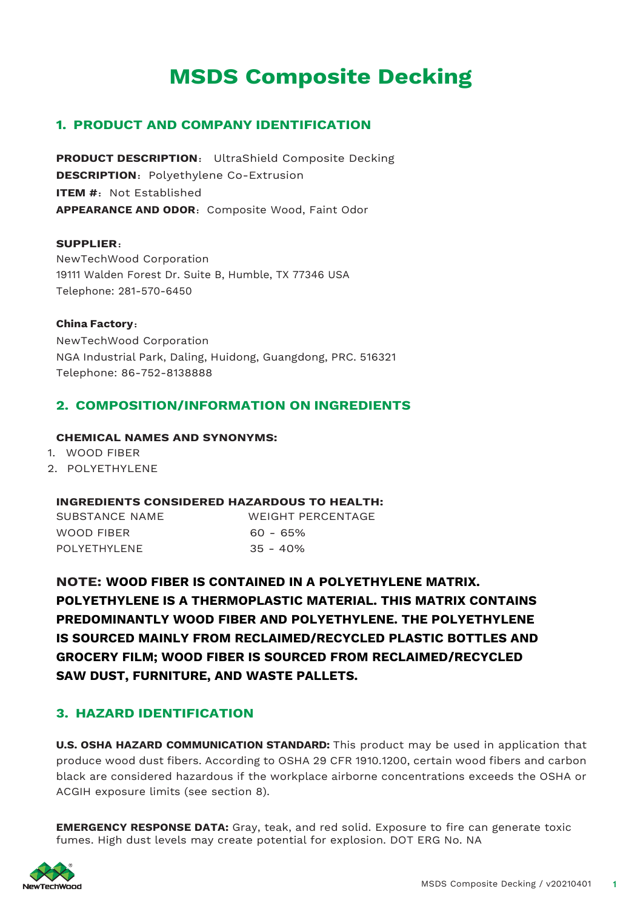# **MSDS Composite Decking**

# **1. PRODUCT AND COMPANY IDENTIFICATION**

**PRODUCT DESCRIPTION**: UltraShield Composite Decking **DESCRIPTION:** Polyethylene Co-Extrusion **ITEM #: Not Established APPEARANCE AND ODOR: Composite Wood, Faint Odor** 

#### **SUPPLIER**:

NewTechWood Corporation 19111 Walden Forest Dr. Suite B, Humble, TX 77346 USA Telephone: 281-570-6450

## **China Factory**: NewTechWood Corporation NGA Industrial Park, Daling, Huidong, Guangdong, PRC. 516321 Telephone: 86-752-8138888

# **2. COMPOSITION/INFORMATION ON INGREDIENTS**

#### **CHEMICAL NAMES AND SYNONYMS:**

- 1. WOOD FIBER
- 2. POLYETHYLENE

#### **INGREDIENTS CONSIDERED HAZARDOUS TO HEALTH:**

| SUBSTANCE NAME | WEIGHT PERCENTAGE |
|----------------|-------------------|
| WOOD FIBER     | 60 - 65%          |
| POLYFTHYL FNF  | $35 - 40\%$       |

**NOTE: WOOD FIBER IS CONTAINED IN A POLYETHYLENE MATRIX. POLYETHYLENE IS A THERMOPLASTIC MATERIAL. THIS MATRIX CONTAINS PREDOMINANTLY WOOD FIBER AND POLYETHYLENE. THE POLYETHYLENE IS SOURCED MAINLY FROM RECLAIMED/RECYCLED PLASTIC BOTTLES AND GROCERY FILM; WOOD FIBER IS SOURCED FROM RECLAIMED/RECYCLED SAW DUST, FURNITURE, AND WASTE PALLETS.**

# **3. HAZARD IDENTIFICATION**

**U.S. OSHA HAZARD COMMUNICATION STANDARD:** This product may be used in application that produce wood dust fibers. According to OSHA 29 CFR 1910.1200, certain wood fibers and carbon black are considered hazardous if the workplace airborne concentrations exceeds the OSHA or ACGIH exposure limits (see section 8).

**EMERGENCY RESPONSE DATA:** Gray, teak, and red solid. Exposure to fire can generate toxic fumes. High dust levels may create potential for explosion. DOT ERG No. NA

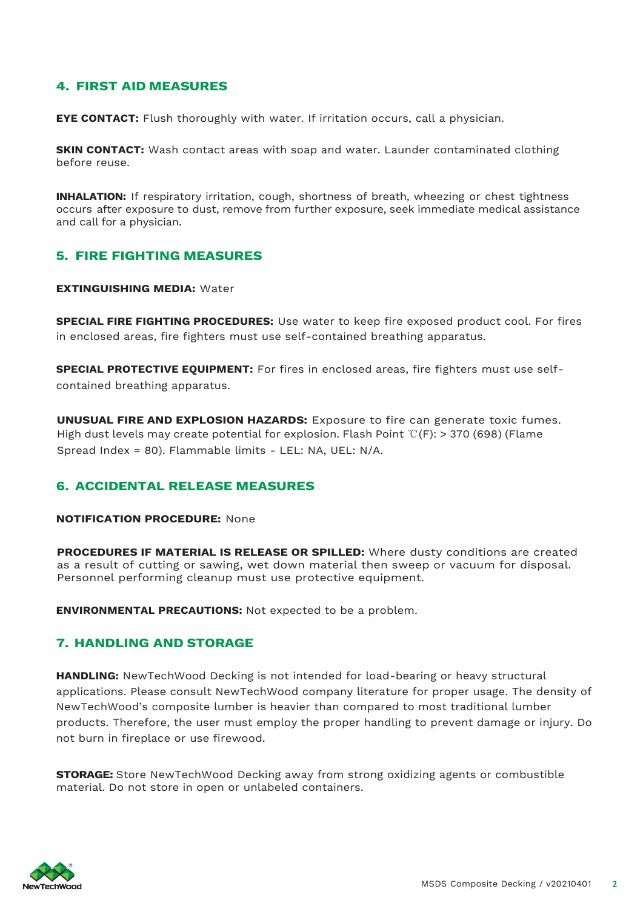# **4. FIRST AID MEASURES**

**EYE CONTACT:** Flush thoroughly with water. If irritation occurs, call a physician.

**SKIN CONTACT:** Wash contact areas with soap and water. Launder contaminated clothing before reuse.

**INHALATION:** If respiratory irritation, cough, shortness of breath, wheezing or chest tightness occurs after exposure to dust, remove from further exposure, seek immediate medical assistance and call for a physician.

### **5. FIRE FIGHTING MEASURES**

#### **EXTINGUISHING MEDIA:** Water

**SPECIAL FIRE FIGHTING PROCEDURES:** Use water to keep fire exposed product cool. For fires in enclosed areas, fire fighters must use self-contained breathing apparatus.

**SPECIAL PROTECTIVE EQUIPMENT:** For fires in enclosed areas, fire fighters must use selfcontained breathing apparatus.

**UNUSUAL FIRE AND EXPLOSION HAZARDS:** Exposure to fire can generate toxic fumes. High dust levels may create potential for explosion. Flash Point ℃(F): > 370 (698) (Flame Spread Index = 80). Flammable limits - LEL: NA, UEL: N/A.

# **6. ACCIDENTAL RELEASE MEASURES**

#### **NOTIFICATION PROCEDURE:** None

**PROCEDURES IF MATERIAL IS RELEASE OR SPILLED:** Where dusty conditions are created as a result of cutting or sawing, wet down material then sweep or vacuum for disposal. Personnel performing cleanup must use protective equipment.

**ENVIRONMENTAL PRECAUTIONS:** Not expected to be a problem.

# **7. HANDLING AND STORAGE**

**HANDLING:** NewTechWood Decking is not intended for load-bearing or heavy structural applications. Please consult NewTechWood company literature for proper usage. The density of NewTechWood's composite lumber is heavier than compared to most traditional lumber products. Therefore, the user must employ the proper handling to prevent damage or injury. Do not burn in fireplace or use firewood.

**STORAGE:** Store NewTechWood Decking away from strong oxidizing agents or combustible material. Do not store in open or unlabeled containers.

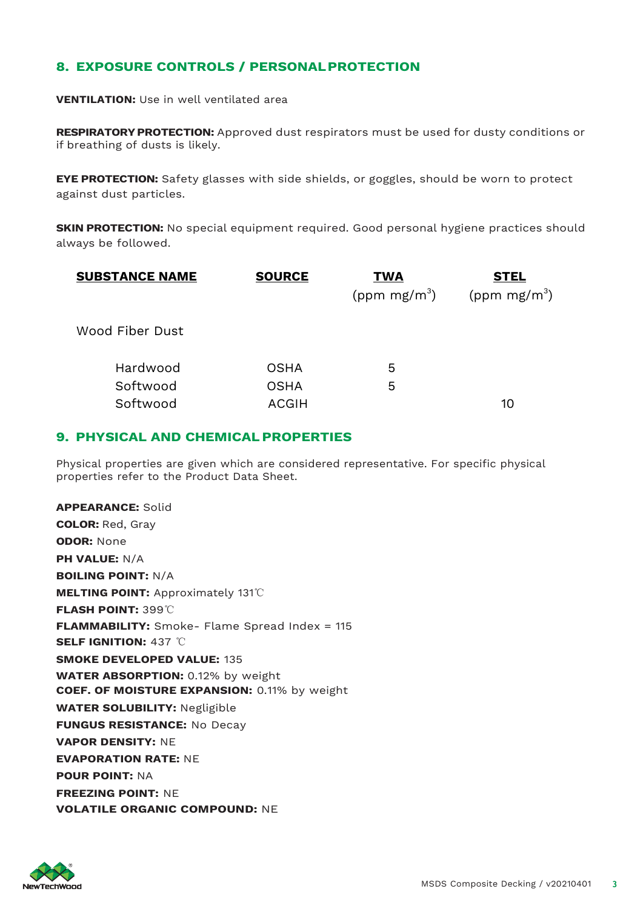# **8. EXPOSURE CONTROLS / PERSONALPROTECTION**

**VENTILATION:** Use in well ventilated area

**RESPIRATORYPROTECTION:** Approved dust respirators must be used for dusty conditions or if breathing of dusts is likely.

**EYE PROTECTION:** Safety glasses with side shields, or goggles, should be worn to protect against dust particles.

**SKIN PROTECTION:** No special equipment required. Good personal hygiene practices should always be followed.

| <b>SUBSTANCE NAME</b> | <b>SOURCE</b> | <b>TWA</b>      | <u>STEL</u>     |
|-----------------------|---------------|-----------------|-----------------|
|                       |               | (ppm $mg/m^3$ ) | (ppm $mg/m^3$ ) |
| Wood Fiber Dust       |               |                 |                 |
| Hardwood              | <b>OSHA</b>   | 5               |                 |
| Softwood              | <b>OSHA</b>   | 5               |                 |
| Softwood              | <b>ACGIH</b>  |                 | 10              |

## **9. PHYSICAL AND CHEMICALPROPERTIES**

Physical properties are given which are considered representative. For specific physical properties refer to the Product Data Sheet.

**APPEARANCE:** Solid **COLOR:** Red, Gray **ODOR:** None **PH VALUE:** N/A **BOILING POINT:** N/A **MELTING POINT:** Approximately 131℃ **FLASH POINT:** 399℃ **FLAMMABILITY:** Smoke- Flame Spread Index = 115 **SELF IGNITION:** 437 ℃ **SMOKE DEVELOPED VALUE:** 135 **WATER ABSORPTION:** 0.12% by weight **COEF. OF MOISTURE EXPANSION:** 0.11% by weight **WATER SOLUBILITY:** Negligible **FUNGUS RESISTANCE:** No Decay **VAPOR DENSITY:** NE **EVAPORATION RATE:** NE **POUR POINT:** NA **FREEZING POINT:** NE **VOLATILE ORGANIC COMPOUND:** NE

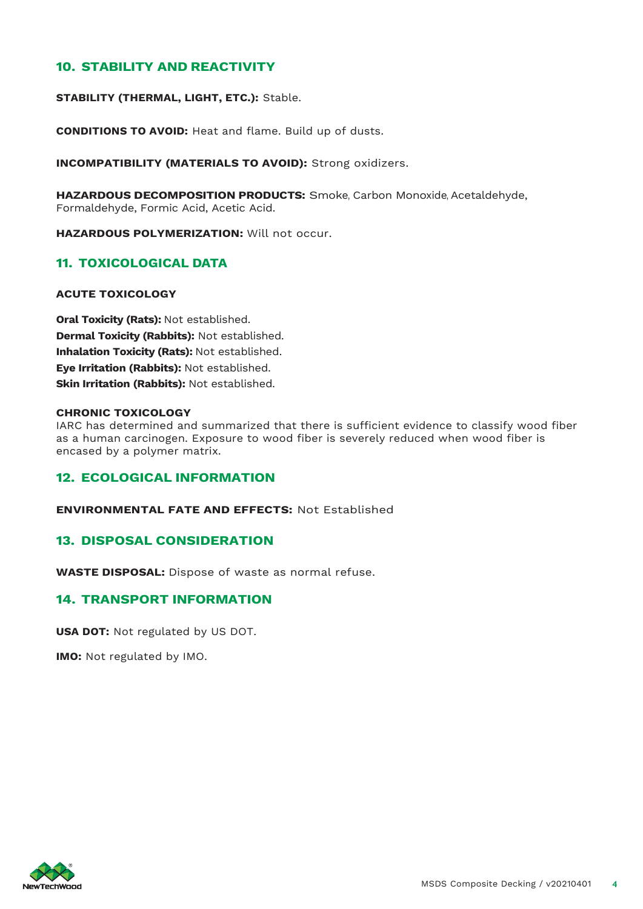# **10. STABILITY AND REACTIVITY**

**STABILITY (THERMAL, LIGHT, ETC.):** Stable.

**CONDITIONS TO AVOID:** Heat and flame. Build up of dusts.

**INCOMPATIBILITY (MATERIALS TO AVOID):** Strong oxidizers.

**HAZARDOUS DECOMPOSITION PRODUCTS:** Smoke, Carbon Monoxide, Acetaldehyde, Formaldehyde, Formic Acid, Acetic Acid.

**HAZARDOUS POLYMERIZATION:** Will not occur.

### **11. TOXICOLOGICAL DATA**

#### **ACUTE TOXICOLOGY**

**Oral Toxicity (Rats):** Not established. **Dermal Toxicity (Rabbits):** Not established. **Inhalation Toxicity (Rats):** Not established. **Eye Irritation (Rabbits):** Not established. **Skin Irritation (Rabbits):** Not established.

#### **CHRONIC TOXICOLOGY**

IARC has determined and summarized that there is sufficient evidence to classify wood fiber as a human carcinogen. Exposure to wood fiber is severely reduced when wood fiber is encased by a polymer matrix.

### **12. ECOLOGICAL INFORMATION**

**ENVIRONMENTAL FATE AND EFFECTS:** Not Established

### **13. DISPOSAL CONSIDERATION**

**WASTE DISPOSAL:** Dispose of waste as normal refuse.

# **14. TRANSPORT INFORMATION**

**USA DOT:** Not regulated by US DOT.

**IMO:** Not regulated by IMO.